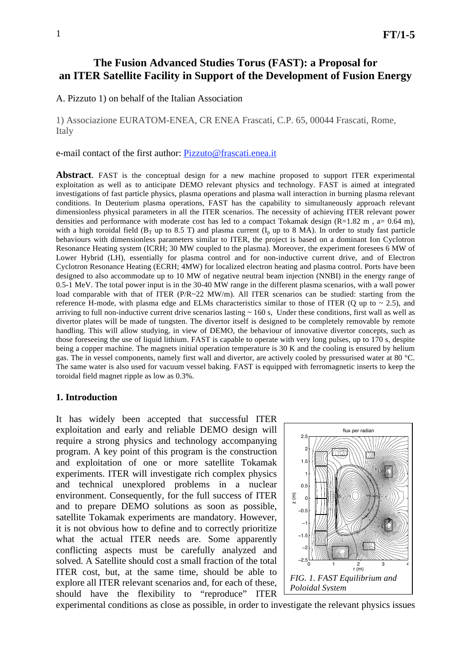# **The Fusion Advanced Studies Torus (FAST): a Proposal for an ITER Satellite Facility in Support of the Development of Fusion Energy**

A. Pizzuto 1) on behalf of the Italian Association

1) Associazione EURATOM-ENEA, CR ENEA Frascati, C.P. 65, 00044 Frascati, Rome, Italy

e-mail contact of the first author: Pizzuto@frascati.enea.it

**Abstract**. FAST is the conceptual design for a new machine proposed to support ITER experimental exploitation as well as to anticipate DEMO relevant physics and technology. FAST is aimed at integrated investigations of fast particle physics, plasma operations and plasma wall interaction in burning plasma relevant conditions. In Deuterium plasma operations, FAST has the capability to simultaneously approach relevant dimensionless physical parameters in all the ITER scenarios. The necessity of achieving ITER relevant power densities and performance with moderate cost has led to a compact Tokamak design  $(R=1.82 \text{ m}$ , a= 0.64 m), with a high toroidal field ( $B_T$  up to 8.5 T) and plasma current ( $I_p$  up to 8 MA). In order to study fast particle behaviours with dimensionless parameters similar to ITER, the project is based on a dominant Ion Cyclotron Resonance Heating system (ICRH; 30 MW coupled to the plasma). Moreover, the experiment foresees 6 MW of Lower Hybrid (LH), essentially for plasma control and for non-inductive current drive, and of Electron Cyclotron Resonance Heating (ECRH; 4MW) for localized electron heating and plasma control. Ports have been designed to also accommodate up to 10 MW of negative neutral beam injection (NNBI) in the energy range of 0.5-1 MeV. The total power input is in the 30-40 MW range in the different plasma scenarios, with a wall power load comparable with that of ITER (P/R~22 MW/m). All ITER scenarios can be studied: starting from the reference H-mode, with plasma edge and ELMs characteristics similar to those of ITER (Q up to  $\sim$  2.5), and arriving to full non-inductive current drive scenarios lasting  $\sim 160$  s, Under these conditions, first wall as well as divertor plates will be made of tungsten. The divertor itself is designed to be completely removable by remote handling. This will allow studying, in view of DEMO, the behaviour of innovative divertor concepts, such as those foreseeing the use of liquid lithium. FAST is capable to operate with very long pulses, up to 170 s, despite being a copper machine. The magnets initial operation temperature is 30 K and the cooling is ensured by helium gas. The in vessel components, namely first wall and divertor, are actively cooled by pressurised water at 80 °C. The same water is also used for vacuum vessel baking. FAST is equipped with ferromagnetic inserts to keep the toroidal field magnet ripple as low as 0.3%.

#### **1. Introduction**

It has widely been accepted that successful ITER exploitation and early and reliable DEMO design will require a strong physics and technology accompanying program. A key point of this program is the construction and exploitation of one or more satellite Tokamak experiments. ITER will investigate rich complex physics and technical unexplored problems in a nuclear environment. Consequently, for the full success of ITER and to prepare DEMO solutions as soon as possible, satellite Tokamak experiments are mandatory. However, it is not obvious how to define and to correctly prioritize what the actual ITER needs are. Some apparently conflicting aspects must be carefully analyzed and solved. A Satellite should cost a small fraction of the total ITER cost, but, at the same time, should be able to explore all ITER relevant scenarios and, for each of these, should have the flexibility to "reproduce" ITER



experimental conditions as close as possible, in order to investigate the relevant physics issues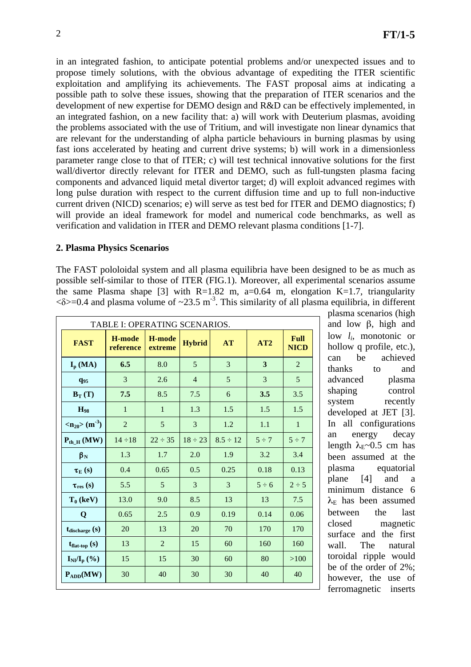in an integrated fashion, to anticipate potential problems and/or unexpected issues and to propose timely solutions, with the obvious advantage of expediting the ITER scientific exploitation and amplifying its achievements. The FAST proposal aims at indicating a possible path to solve these issues, showing that the preparation of ITER scenarios and the development of new expertise for DEMO design and R&D can be effectively implemented, in an integrated fashion, on a new facility that: a) will work with Deuterium plasmas, avoiding the problems associated with the use of Tritium, and will investigate non linear dynamics that are relevant for the understanding of alpha particle behaviours in burning plasmas by using fast ions accelerated by heating and current drive systems; b) will work in a dimensionless parameter range close to that of ITER; c) will test technical innovative solutions for the first wall/divertor directly relevant for ITER and DEMO, such as full-tungsten plasma facing components and advanced liquid metal divertor target; d) will exploit advanced regimes with long pulse duration with respect to the current diffusion time and up to full non-inductive current driven (NICD) scenarios; e) will serve as test bed for ITER and DEMO diagnostics; f) will provide an ideal framework for model and numerical code benchmarks, as well as verification and validation in ITER and DEMO relevant plasma conditions [1-7].

## **2. Plasma Physics Scenarios**

The FAST pololoidal system and all plasma equilibria have been designed to be as much as possible self-similar to those of ITER (FIG.1). Moreover, all experimental scenarios assume the same Plasma shape [3] with  $R=1.82$  m, a=0.64 m, elongation K=1.7, triangularity  $\langle \delta \rangle = 0.4$  and plasma volume of  $\sim 23.5$  m<sup>-3</sup>. This similarity of all plasma equilibria, in different

| TABLE I: OPERATING SCENARIOS.               |                     |                   |                |               |            |                            |  |  |
|---------------------------------------------|---------------------|-------------------|----------------|---------------|------------|----------------------------|--|--|
| <b>FAST</b>                                 | H-mode<br>reference | H-mode<br>extreme | <b>Hybrid</b>  | <b>AT</b>     | AT2        | <b>Full</b><br><b>NICD</b> |  |  |
| $I_{p}$ (MA)                                | 6.5                 | 8.0               | 5              | 3             | 3          | $\overline{2}$             |  |  |
| $q_{95}$                                    | 3                   | 2.6               | $\overline{4}$ | 5             | 3          | 5                          |  |  |
| $B_T(T)$                                    | 7.5                 | 8.5               | 7.5            | 6             | 3.5        | 3.5                        |  |  |
| $H_{98}$                                    | $\mathbf{1}$        | $\mathbf{1}$      | 1.3            | 1.5           | 1.5        | 1.5                        |  |  |
| $\langle n_{20} \rangle$ (m <sup>-3</sup> ) | $\overline{2}$      | 5                 | 3              | 1.2           | 1.1        | $\mathbf{1}$               |  |  |
| $P_{th H}$ (MW)                             | $14 \div 18$        | $22 \div 35$      | $18 \div 23$   | $8.5 \div 12$ | $5 \div 7$ | $5 \div 7$                 |  |  |
| $\beta_N$                                   | 1.3                 | 1.7               | 2.0            | 1.9           | 3.2        | 3.4                        |  |  |
| $\tau_E(s)$                                 | 0.4                 | 0.65              | 0.5            | 0.25          | 0.18       | 0.13                       |  |  |
| $\tau_{res}$ (s)                            | 5.5                 | 5                 | 3              | 3             | $5 \div 6$ | $2 \div 5$                 |  |  |
| $T_0$ (keV)                                 | 13.0                | 9.0               | 8.5            | 13            | 13         | 7.5                        |  |  |
| Q                                           | 0.65                | 2.5               | 0.9            | 0.19          | 0.14       | 0.06                       |  |  |
| $t_{discharge}$ $(s)$                       | 20                  | 13                | 20             | 70            | 170        | 170                        |  |  |
| $t_{flat-top}$ (s)                          | 13                  | $\overline{2}$    | 15             | 60            | 160        | 160                        |  |  |
| $I_{NI}/I_{p}$ (%)                          | 15                  | 15                | 30             | 60            | 80         | >100                       |  |  |
| $P_{ADD}(MW)$                               | 30                  | 40                | 30             | 30            | 40         | 40                         |  |  |

plasma scenarios (high and low  $\beta$ , high and low *li*, monotonic or hollow q profile, etc.), can be achieved thanks to and advanced plasma shaping control system recently developed at JET [3]. In all configurations an energy decay length  $\lambda_{E}$ ~0.5 cm has been assumed at the plasma equatorial plane [4] and a minimum distance 6  $\lambda_E$  has been assumed between the last closed magnetic surface and the first wall. The natural toroidal ripple would be of the order of 2%; however, the use of ferromagnetic inserts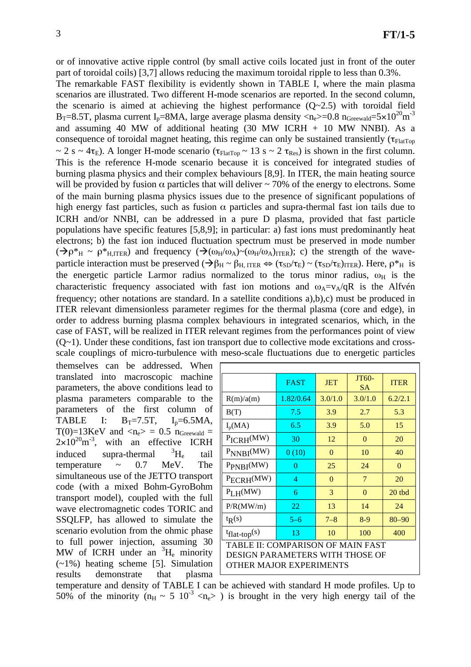or of innovative active ripple control (by small active coils located just in front of the outer part of toroidal coils) [3,7] allows reducing the maximum toroidal ripple to less than 0.3%.

The remarkable FAST flexibility is evidently shown in TABLE I, where the main plasma scenarios are illustrated. Two different H-mode scenarios are reported. In the second column, the scenario is aimed at achieving the highest performance  $(Q~2.5)$  with toroidal field  $B_T=8.5T$ , plasma current I<sub>p</sub>=8MA, large average plasma density <n<sub>e</sub>>=0.8 n<sub>Greewald</sub>=5×10<sup>20</sup>m<sup>-3</sup> and assuming 40 MW of additional heating  $(30 \text{ MW} \text{ ICRH} + 10 \text{ MW} \text{ NNBI})$ . As a consequence of toroidal magnet heating, this regime can only be sustained transiently ( $\tau_{FlatTop}$ )  $\sim 2$  s ~ 4 $\tau$ <sub>E</sub>). A longer H-mode scenario ( $\tau$ <sub>FlatTop</sub> ~ 13 s ~ 2  $\tau$ <sub>Res</sub>) is shown in the first column. This is the reference H-mode scenario because it is conceived for integrated studies of burning plasma physics and their complex behaviours [8,9]. In ITER, the main heating source will be provided by fusion  $\alpha$  particles that will deliver  $\sim$  70% of the energy to electrons. Some of the main burning plasma physics issues due to the presence of significant populations of high energy fast particles, such as fusion  $\alpha$  particles and supra-thermal fast ion tails due to ICRH and/or NNBI, can be addressed in a pure D plasma, provided that fast particle populations have specific features [5,8,9]; in particular: a) fast ions must predominantly heat electrons; b) the fast ion induced fluctuation spectrum must be preserved in mode number  $(\rightarrow \rho^* H \sim \rho^* H, ITER)$  and frequency  $(\rightarrow (\omega_H/\omega_A) \sim (\omega_H/\omega_A)_{ITER})$ ; c) the strength of the waveparticle interaction must be preserved  $(\rightarrow \beta_H \sim \beta_H$ ,  $_{\text{ITER}} \Leftrightarrow (\tau_{SD}/\tau_E) \sim (\tau_{SD}/\tau_E)_{\text{ITER}}$ ). Here,  $\rho^*_{H}$  is the energetic particle Larmor radius normalized to the torus minor radius,  $\omega_H$  is the characteristic frequency associated with fast ion motions and  $\omega_A = v_A/qR$  is the Alfvén frequency; other notations are standard. In a satellite conditions a),b),c) must be produced in ITER relevant dimensionless parameter regimes for the thermal plasma (core and edge), in order to address burning plasma complex behaviours in integrated scenarios, which, in the case of FAST, will be realized in ITER relevant regimes from the performances point of view  $(Q-1)$ . Under these conditions, fast ion transport due to collective mode excitations and crossscale couplings of micro-turbulence with meso-scale fluctuations due to energetic particles

themselves can be addressed. When translated into macroscopic machine parameters, the above conditions lead to plasma parameters comparable to the parameters of the first column of TABLE I:  $B_T = 7.5T$ ,  $I_p = 6.5MA$ , T(0)=13KeV and  $\langle n_e \rangle = 0.5$  n<sub>Greewald</sub> =  $2\times10^{20}$ m<sup>-3</sup>, with an effective ICRH induced supra-thermal  ${}^{3}H_{e}$ tail temperature  $\sim$  0.7 MeV. The simultaneous use of the JETTO transport code (with a mixed Bohm-GyroBohm transport model), coupled with the full wave electromagnetic codes TORIC and SSQLFP, has allowed to simulate the scenario evolution from the ohmic phase to full power injection, assuming 30 MW of ICRH under an  ${}^{3}H_{e}$  minority  $(-1%)$  heating scheme [5]. Simulation results demonstrate that plasma

|                                                                                                 | <b>FAST</b> | <b>JET</b> | JT60-<br><b>SA</b> | <b>ITER</b> |  |  |  |  |
|-------------------------------------------------------------------------------------------------|-------------|------------|--------------------|-------------|--|--|--|--|
| R(m)/a(m)                                                                                       | 1.82/0.64   | 3.0/1.0    | 3.0/1.0            | 6.2/2.1     |  |  |  |  |
| B(T)                                                                                            | 7.5         | 3.9        | 2.7                | 5.3         |  |  |  |  |
| $I_p(MA)$                                                                                       | 6.5         | 3.9        | 5.0                | 15          |  |  |  |  |
| $P_{ICRH}(MW)$                                                                                  | 30          | 12         | $\Omega$           | 20          |  |  |  |  |
| $P_{NNBI}(MW)$                                                                                  | 0(10)       | $\theta$   | 10                 | 40          |  |  |  |  |
| P <sub>PNBI</sub> (MW)                                                                          | 0           | 25         | 24                 | $\Omega$    |  |  |  |  |
| $P_{ECRH}(MW)$                                                                                  | 4           | $\theta$   | 7                  | 20          |  |  |  |  |
| $PL$ H(MW)                                                                                      | 6           | 3          | $\Omega$           | 20 tbd      |  |  |  |  |
| P/R(MW/m)                                                                                       | 22          | 13         | 14                 | 24          |  |  |  |  |
| $t_{R}(s)$                                                                                      | $5 - 6$     | $7 - 8$    | $8-9$              | $80 - 90$   |  |  |  |  |
| $t_{flat-top}(s)$                                                                               | 13          | 10         | 100                | 400         |  |  |  |  |
| TABLE II: COMPARISON OF MAIN FAST<br>DESIGN PARAMETERS WITH THOSE OF<br>OTHER MAJOR EXPERIMENTS |             |            |                    |             |  |  |  |  |

temperature and density of TABLE I can be achieved with standard H mode profiles. Up to 50% of the minority ( $n_H \sim 5 \times 10^{-3} \text{ m/s}$ ) is brought in the very high energy tail of the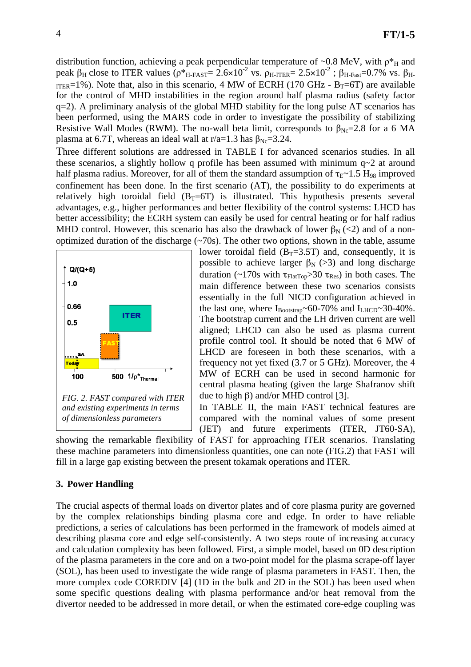distribution function, achieving a peak perpendicular temperature of ~0.8 MeV, with  $p^*$ <sup>H</sup> and peak  $\beta_H$  close to ITER values  $(\rho^*_{H\text{-FAST}} = 2.6 \times 10^{-2} \text{ vs. } \rho_{H\text{-TIER}} = 2.5 \times 10^{-2} \text{ ; } \beta_{H\text{-Fast}} = 0.7\% \text{ vs. } \beta_{H\text{-Fast}}$ ITER=1%). Note that, also in this scenario, 4 MW of ECRH (170 GHz -  $B_T=6T$ ) are available for the control of MHD instabilities in the region around half plasma radius (safety factor q=2). A preliminary analysis of the global MHD stability for the long pulse AT scenarios has been performed, using the MARS code in order to investigate the possibility of stabilizing Resistive Wall Modes (RWM). The no-wall beta limit, corresponds to  $\beta_{\text{Ne}}=2.8$  for a 6 MA plasma at 6.7T, whereas an ideal wall at r/a=1.3 has  $\beta_{\text{Ne}}$ =3.24.

Three different solutions are addressed in TABLE I for advanced scenarios studies. In all these scenarios, a slightly hollow q profile has been assumed with minimum  $q\sim 2$  at around half plasma radius. Moreover, for all of them the standard assumption of  $\tau_{E}$ ~1.5 H<sub>98</sub> improved confinement has been done. In the first scenario (AT), the possibility to do experiments at relatively high toroidal field  $(B_T=6T)$  is illustrated. This hypothesis presents several advantages, e.g., higher performances and better flexibility of the control systems: LHCD has better accessibility; the ECRH system can easily be used for central heating or for half radius MHD control. However, this scenario has also the drawback of lower  $\beta_N$  (<2) and of a nonoptimized duration of the discharge  $(\sim 70s)$ . The other two options, shown in the table, assume



lower toroidal field  $(B_T=3.5T)$  and, consequently, it is possible to achieve larger  $\beta_N$  (>3) and long discharge duration (~170s with  $\tau_{FlatTop} > 30 \tau_{Res}$ ) in both cases. The main difference between these two scenarios consists essentially in the full NICD configuration achieved in the last one, where  $I_{\text{Booststrap}}$ ~60-70% and  $I_{\text{LHCD}}$ ~30-40%. The bootstrap current and the LH driven current are well aligned; LHCD can also be used as plasma current profile control tool. It should be noted that 6 MW of LHCD are foreseen in both these scenarios, with a frequency not yet fixed (3.7 or 5 GHz). Moreover, the 4 MW of ECRH can be used in second harmonic for central plasma heating (given the large Shafranov shift due to high  $\beta$ ) and/or MHD control [3].

In TABLE II, the main FAST technical features are compared with the nominal values of some present (JET) and future experiments (ITER, JT60-SA),

showing the remarkable flexibility of FAST for approaching ITER scenarios. Translating these machine parameters into dimensionless quantities, one can note (FIG.2) that FAST will fill in a large gap existing between the present tokamak operations and ITER.

## **3. Power Handling**

The crucial aspects of thermal loads on divertor plates and of core plasma purity are governed by the complex relationships binding plasma core and edge. In order to have reliable predictions, a series of calculations has been performed in the framework of models aimed at describing plasma core and edge self-consistently. A two steps route of increasing accuracy and calculation complexity has been followed. First, a simple model, based on 0D description of the plasma parameters in the core and on a two-point model for the plasma scrape-off layer (SOL), has been used to investigate the wide range of plasma parameters in FAST. Then, the more complex code COREDIV [4] (1D in the bulk and 2D in the SOL) has been used when some specific questions dealing with plasma performance and/or heat removal from the divertor needed to be addressed in more detail, or when the estimated core-edge coupling was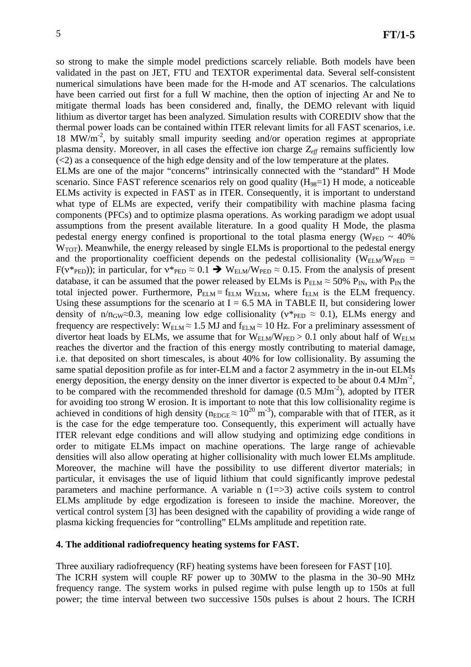so strong to make the simple model predictions scarcely reliable. Both models have been validated in the past on JET, FTU and TEXTOR experimental data. Several self-consistent numerical simulations have been made for the H-mode and AT scenarios. The calculations have been carried out first for a full W machine, then the option of injecting Ar and Ne to mitigate thermal loads has been considered and, finally, the DEMO relevant with liquid lithium as divertor target has been analyzed. Simulation results with COREDIV show that the thermal power loads can be contained within ITER relevant limits for all FAST scenarios, i.e.  $18 \text{ MW/m}^2$ , by suitably small impurity seeding and/or operation regimes at appropriate plasma density. Moreover, in all cases the effective ion charge *Zeff* remains sufficiently low  $(\leq 2)$  as a consequence of the high edge density and of the low temperature at the plates.

ELMs are one of the major "concerns" intrinsically connected with the "standard" H Mode scenario. Since FAST reference scenarios rely on good quality  $(H_{98}=1)$  H mode, a noticeable ELMs activity is expected in FAST as in ITER. Consequently, it is important to understand what type of ELMs are expected, verify their compatibility with machine plasma facing components (PFCs) and to optimize plasma operations. As working paradigm we adopt usual assumptions from the present available literature. In a good quality H Mode, the plasma pedestal energy energy confined is proportional to the total plasma energy ( $W_{\text{PED}} \sim 40\%$  $W<sub>TOT</sub>$ ). Meanwhile, the energy released by single ELMs is proportional to the pedestal energy and the proportionality coefficient depends on the pedestal collisionality ( $W_{ELM}/W_{PED}$  =  $F(v*_{\text{PED}}))$ ; in particular, for  $v*_{\text{PED}} \approx 0.1 \rightarrow W_{\text{ELM}}/W_{\text{PED}} \approx 0.15$ . From the analysis of present database, it can be assumed that the power released by ELMs is  $P_{ELM} \approx 50\% P_{IN}$ , with  $P_{IN}$  the total injected power. Furthermore,  $P_{ELM} = f_{ELM} W_{ELM}$ , where  $f_{ELM}$  is the ELM frequency. Using these assumptions for the scenario at  $I = 6.5$  MA in TABLE II, but considering lower density of n/n<sub>GW</sub> $\approx$ 0.3, meaning low edge collisionality ( $v*_{\text{PED}} \approx$  0.1), ELMs energy and frequency are respectively:  $W_{ELM} \approx 1.5 \text{ MJ}$  and  $f_{ELM} \approx 10 \text{ Hz}$ . For a preliminary assessment of divertor heat loads by ELMs, we assume that for  $W_{ELM}/W_{PED} > 0.1$  only about half of  $W_{ELM}$ reaches the divertor and the fraction of this energy mostly contributing to material damage, i.e. that deposited on short timescales, is about 40% for low collisionality. By assuming the same spatial deposition profile as for inter-ELM and a factor 2 asymmetry in the in-out ELMs energy deposition, the energy density on the inner divertor is expected to be about  $0.4 \text{ MJm}^2$ , to be compared with the recommended threshold for damage  $(0.5 \text{ MJm}^2)$ , adopted by ITER for avoiding too strong W erosion. It is important to note that this low collisionality regime is achieved in conditions of high density ( $n_{\text{EDGE}} \approx 10^{20} \text{ m}^{-3}$ ), comparable with that of ITER, as it is the case for the edge temperature too. Consequently, this experiment will actually have ITER relevant edge conditions and will allow studying and optimizing edge conditions in order to mitigate ELMs impact on machine operations. The large range of achievable densities will also allow operating at higher collisionality with much lower ELMs amplitude. Moreover, the machine will have the possibility to use different divertor materials; in particular, it envisages the use of liquid lithium that could significantly improve pedestal parameters and machine performance. A variable n  $(1=>3)$  active coils system to control ELMs amplitude by edge ergodization is foreseen to inside the machine. Moreover, the vertical control system [3] has been designed with the capability of providing a wide range of plasma kicking frequencies for "controlling" ELMs amplitude and repetition rate.

#### **4. The additional radiofrequency heating systems for FAST.**

Three auxiliary radiofrequency (RF) heating systems have been foreseen for FAST [10]. The ICRH system will couple RF power up to 30MW to the plasma in the 30–90 MHz frequency range. The system works in pulsed regime with pulse length up to 150s at full power; the time interval between two successive 150s pulses is about 2 hours. The ICRH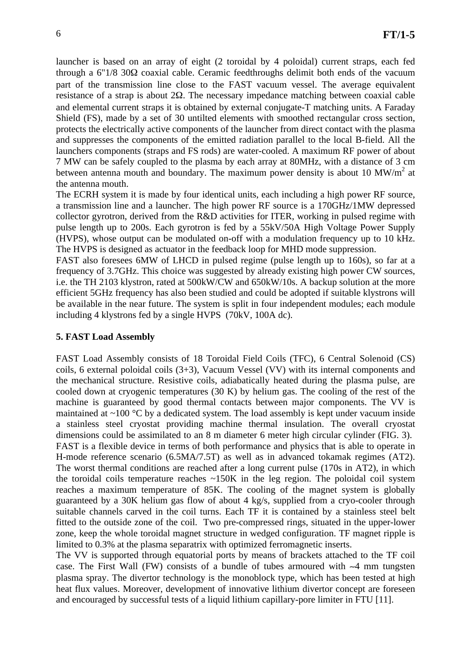launcher is based on an array of eight (2 toroidal by 4 poloidal) current straps, each fed through a  $6"1/8$  30 $\Omega$  coaxial cable. Ceramic feedthroughs delimit both ends of the vacuum part of the transmission line close to the FAST vacuum vessel. The average equivalent resistance of a strap is about  $2\Omega$ . The necessary impedance matching between coaxial cable and elemental current straps it is obtained by external conjugate-T matching units. A Faraday Shield (FS), made by a set of 30 untilted elements with smoothed rectangular cross section, protects the electrically active components of the launcher from direct contact with the plasma and suppresses the components of the emitted radiation parallel to the local B-field. All the launchers components (straps and FS rods) are water-cooled. A maximum RF power of about 7 MW can be safely coupled to the plasma by each array at 80MHz, with a distance of 3 cm between antenna mouth and boundary. The maximum power density is about 10  $MW/m<sup>2</sup>$  at the antenna mouth.

The ECRH system it is made by four identical units, each including a high power RF source, a transmission line and a launcher. The high power RF source is a 170GHz/1MW depressed collector gyrotron, derived from the R&D activities for ITER, working in pulsed regime with pulse length up to 200s. Each gyrotron is fed by a 55kV/50A High Voltage Power Supply (HVPS), whose output can be modulated on-off with a modulation frequency up to 10 kHz. The HVPS is designed as actuator in the feedback loop for MHD mode suppression.

FAST also foresees 6MW of LHCD in pulsed regime (pulse length up to 160s), so far at a frequency of 3.7GHz. This choice was suggested by already existing high power CW sources, i.e. the TH 2103 klystron, rated at 500kW/CW and 650kW/10s. A backup solution at the more efficient 5GHz frequency has also been studied and could be adopted if suitable klystrons will be available in the near future. The system is split in four independent modules; each module including 4 klystrons fed by a single HVPS (70kV, 100A dc).

## **5. FAST Load Assembly**

FAST Load Assembly consists of 18 Toroidal Field Coils (TFC), 6 Central Solenoid (CS) coils, 6 external poloidal coils (3+3), Vacuum Vessel (VV) with its internal components and the mechanical structure. Resistive coils, adiabatically heated during the plasma pulse, are cooled down at cryogenic temperatures (30 K) by helium gas. The cooling of the rest of the machine is guaranteed by good thermal contacts between major components. The VV is maintained at  $\sim$ 100 °C by a dedicated system. The load assembly is kept under vacuum inside a stainless steel cryostat providing machine thermal insulation. The overall cryostat dimensions could be assimilated to an 8 m diameter 6 meter high circular cylinder (FIG. 3). FAST is a flexible device in terms of both performance and physics that is able to operate in H-mode reference scenario (6.5MA/7.5T) as well as in advanced tokamak regimes (AT2). The worst thermal conditions are reached after a long current pulse (170s in AT2), in which the toroidal coils temperature reaches ~150K in the leg region. The poloidal coil system reaches a maximum temperature of 85K. The cooling of the magnet system is globally guaranteed by a 30K helium gas flow of about 4 kg/s, supplied from a cryo-cooler through suitable channels carved in the coil turns. Each TF it is contained by a stainless steel belt fitted to the outside zone of the coil. Two pre-compressed rings, situated in the upper-lower zone, keep the whole toroidal magnet structure in wedged configuration. TF magnet ripple is

limited to 0.3% at the plasma separatrix with optimized ferromagnetic inserts. The VV is supported through equatorial ports by means of brackets attached to the TF coil case. The First Wall (FW) consists of a bundle of tubes armoured with  $-4$  mm tungsten plasma spray. The divertor technology is the monoblock type, which has been tested at high heat flux values. Moreover, development of innovative lithium divertor concept are foreseen and encouraged by successful tests of a liquid lithium capillary-pore limiter in FTU [11].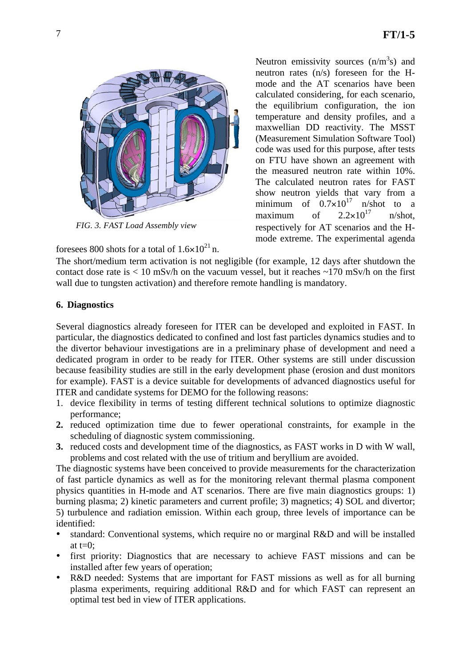

*FIG. 3. FAST Load Assembly view* 

foresees 800 shots for a total of  $1.6 \times 10^{21}$  n.

Neutron emissivity sources  $(n/m^3s)$  and neutron rates (n/s) foreseen for the Hmode and the AT scenarios have been calculated considering, for each scenario, the equilibrium configuration, the ion temperature and density profiles, and a maxwellian DD reactivity. The MSST (Measurement Simulation Software Tool) code was used for this purpose, after tests on FTU have shown an agreement with the measured neutron rate within 10%. The calculated neutron rates for FAST show neutron yields that vary from a minimum of  $0.7\times10^{17}$  n/shot to a<br>maximum of  $2.2\times10^{17}$  n/shot maximum of  $2.2\times10^{17}$  n/shot, respectively for AT scenarios and the Hmode extreme. The experimental agenda

The short/medium term activation is not negligible (for example, 12 days after shutdown the contact dose rate is  $\langle 10 \text{ mSv/h} \rangle$  on the vacuum vessel, but it reaches  $\sim 170 \text{ mSv/h}$  on the first wall due to tungsten activation) and therefore remote handling is mandatory.

### **6. Diagnostics**

Several diagnostics already foreseen for ITER can be developed and exploited in FAST. In particular, the diagnostics dedicated to confined and lost fast particles dynamics studies and to the divertor behaviour investigations are in a preliminary phase of development and need a dedicated program in order to be ready for ITER. Other systems are still under discussion because feasibility studies are still in the early development phase (erosion and dust monitors for example). FAST is a device suitable for developments of advanced diagnostics useful for ITER and candidate systems for DEMO for the following reasons:

- 1. device flexibility in terms of testing different technical solutions to optimize diagnostic performance;
- **2.** reduced optimization time due to fewer operational constraints, for example in the scheduling of diagnostic system commissioning.
- **3.** reduced costs and development time of the diagnostics, as FAST works in D with W wall, problems and cost related with the use of tritium and beryllium are avoided.

The diagnostic systems have been conceived to provide measurements for the characterization of fast particle dynamics as well as for the monitoring relevant thermal plasma component physics quantities in H-mode and AT scenarios. There are five main diagnostics groups: 1) burning plasma; 2) kinetic parameters and current profile; 3) magnetics; 4) SOL and divertor; 5) turbulence and radiation emission. Within each group, three levels of importance can be identified:

- standard: Conventional systems, which require no or marginal R&D and will be installed at  $t=0$ :
- first priority: Diagnostics that are necessary to achieve FAST missions and can be installed after few years of operation;
- R&D needed: Systems that are important for FAST missions as well as for all burning plasma experiments, requiring additional R&D and for which FAST can represent an optimal test bed in view of ITER applications.